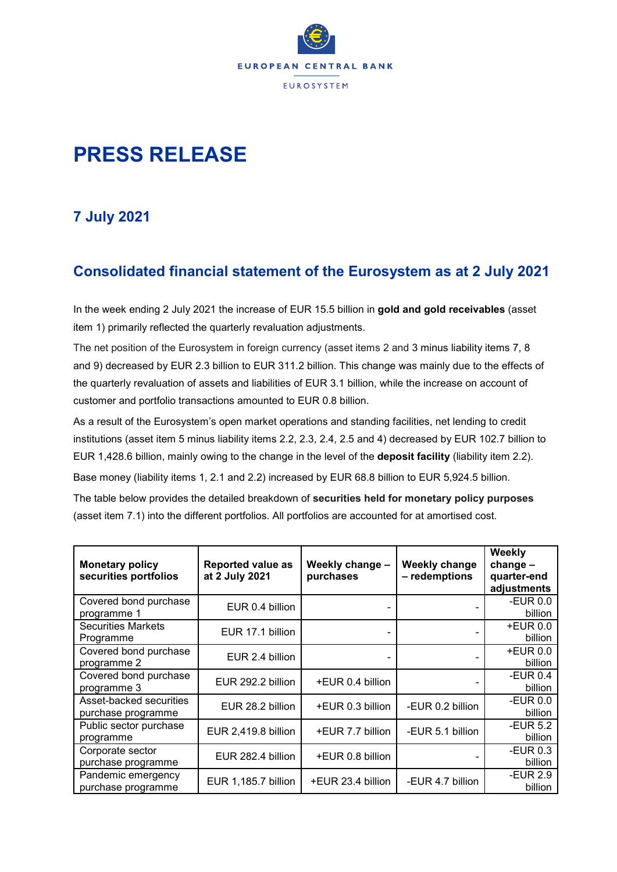

# **PRESS RELEASE**

## **7 July 2021**

### **Consolidated financial statement of the Eurosystem as at 2 July 2021**

In the week ending 2 July 2021 the increase of EUR 15.5 billion in **gold and gold receivables** (asset item 1) primarily reflected the quarterly revaluation adjustments.

The net position of the Eurosystem in foreign currency (asset items 2 and 3 minus liability items 7, 8 and 9) decreased by EUR 2.3 billion to EUR 311.2 billion. This change was mainly due to the effects of the quarterly revaluation of assets and liabilities of EUR 3.1 billion, while the increase on account of customer and portfolio transactions amounted to EUR 0.8 billion.

As a result of the Eurosystem's open market operations and standing facilities, net lending to credit institutions (asset item 5 minus liability items 2.2, 2.3, 2.4, 2.5 and 4) decreased by EUR 102.7 billion to EUR 1,428.6 billion, mainly owing to the change in the level of the **deposit facility** (liability item 2.2). Base money (liability items 1, 2.1 and 2.2) increased by EUR 68.8 billion to EUR 5,924.5 billion. The table below provides the detailed breakdown of **securities held for monetary policy purposes** (asset item 7.1) into the different portfolios. All portfolios are accounted for at amortised cost.

| <b>Monetary policy</b><br>securities portfolios | <b>Reported value as</b><br>at 2 July 2021 | Weekly change -<br>purchases | <b>Weekly change</b><br>- redemptions | Weekly<br>$change -$<br>quarter-end<br>adjustments |
|-------------------------------------------------|--------------------------------------------|------------------------------|---------------------------------------|----------------------------------------------------|
| Covered bond purchase<br>programme 1            | EUR 0.4 billion                            |                              |                                       | -EUR $0.0$<br>billion                              |
| <b>Securities Markets</b><br>Programme          | EUR 17.1 billion                           |                              |                                       | <b>+EUR 0.0</b><br>billion                         |
| Covered bond purchase<br>programme 2            | EUR 2.4 billion                            |                              |                                       | <b>+EUR 0.0</b><br>billion                         |
| Covered bond purchase<br>programme 3            | EUR 292.2 billion                          | +EUR 0.4 billion             | -                                     | -EUR 0.4<br>billion                                |
| Asset-backed securities<br>purchase programme   | EUR 28.2 billion                           | +EUR 0.3 billion             | -EUR 0.2 billion                      | -EUR $0.0$<br>billion                              |
| Public sector purchase<br>programme             | EUR 2,419.8 billion                        | +EUR 7.7 billion             | -EUR 5.1 billion                      | <b>-EUR 5.2</b><br>billion                         |
| Corporate sector<br>purchase programme          | EUR 282.4 billion                          | +EUR 0.8 billion             |                                       | -EUR $0.3$<br>billion                              |
| Pandemic emergency<br>purchase programme        | EUR 1,185.7 billion                        | +EUR 23.4 billion            | -EUR 4.7 billion                      | -EUR 2.9<br>billion                                |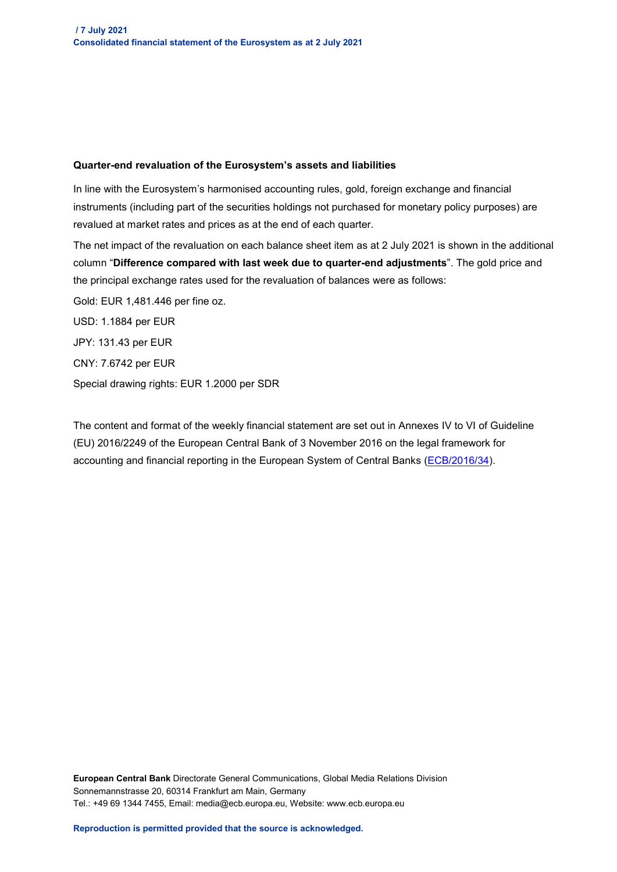#### **Quarter-end revaluation of the Eurosystem's assets and liabilities**

In line with the Eurosystem's harmonised accounting rules, gold, foreign exchange and financial instruments (including part of the securities holdings not purchased for monetary policy purposes) are revalued at market rates and prices as at the end of each quarter.

The net impact of the revaluation on each balance sheet item as at 2 July 2021 is shown in the additional column "**Difference compared with last week due to quarter-end adjustments**". The gold price and the principal exchange rates used for the revaluation of balances were as follows:

Gold: EUR 1,481.446 per fine oz.

USD: 1.1884 per EUR JPY: 131.43 per EUR CNY: 7.6742 per EUR Special drawing rights: EUR 1.2000 per SDR

The content and format of the weekly financial statement are set out in Annexes IV to VI of Guideline (EU) 2016/2249 of the European Central Bank of 3 November 2016 on the legal framework for accounting and financial reporting in the European System of Central Banks [\(ECB/2016/34\)](https://eur-lex.europa.eu/legal-content/EN/TXT/?qid=1599130224518&uri=CELEX:32016O0034).

**European Central Bank** Directorate General Communications, Global Media Relations Division Sonnemannstrasse 20, 60314 Frankfurt am Main, Germany Tel.: +49 69 1344 7455, Email: media@ecb.europa.eu, Website: www.ecb.europa.eu